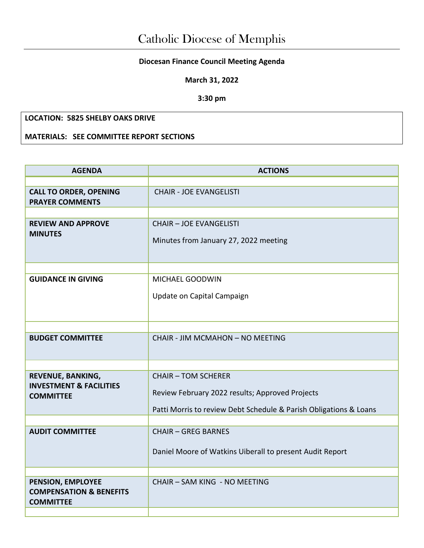## **Diocesan Finance Council Meeting Agenda**

**March 31, 2022**

**3:30 pm**

## **LOCATION: 5825 SHELBY OAKS DRIVE**

**MATERIALS: SEE COMMITTEE REPORT SECTIONS** 

| <b>AGENDA</b>                                                               | <b>ACTIONS</b>                                                          |  |  |
|-----------------------------------------------------------------------------|-------------------------------------------------------------------------|--|--|
|                                                                             |                                                                         |  |  |
| <b>CALL TO ORDER, OPENING</b><br><b>PRAYER COMMENTS</b>                     | <b>CHAIR - JOE EVANGELISTI</b>                                          |  |  |
|                                                                             |                                                                         |  |  |
| <b>REVIEW AND APPROVE</b><br><b>MINUTES</b>                                 | <b>CHAIR - JOE EVANGELISTI</b><br>Minutes from January 27, 2022 meeting |  |  |
|                                                                             |                                                                         |  |  |
| <b>GUIDANCE IN GIVING</b>                                                   | MICHAEL GOODWIN                                                         |  |  |
|                                                                             | Update on Capital Campaign                                              |  |  |
|                                                                             |                                                                         |  |  |
| <b>BUDGET COMMITTEE</b>                                                     | CHAIR - JIM MCMAHON - NO MEETING                                        |  |  |
|                                                                             |                                                                         |  |  |
| REVENUE, BANKING,                                                           | <b>CHAIR - TOM SCHERER</b>                                              |  |  |
| <b>INVESTMENT &amp; FACILITIES</b><br><b>COMMITTEE</b>                      | Review February 2022 results; Approved Projects                         |  |  |
|                                                                             | Patti Morris to review Debt Schedule & Parish Obligations & Loans       |  |  |
|                                                                             |                                                                         |  |  |
| <b>AUDIT COMMITTEE</b>                                                      | <b>CHAIR - GREG BARNES</b>                                              |  |  |
|                                                                             | Daniel Moore of Watkins Uiberall to present Audit Report                |  |  |
|                                                                             |                                                                         |  |  |
| PENSION, EMPLOYEE<br><b>COMPENSATION &amp; BENEFITS</b><br><b>COMMITTEE</b> | CHAIR - SAM KING - NO MEETING                                           |  |  |
|                                                                             |                                                                         |  |  |